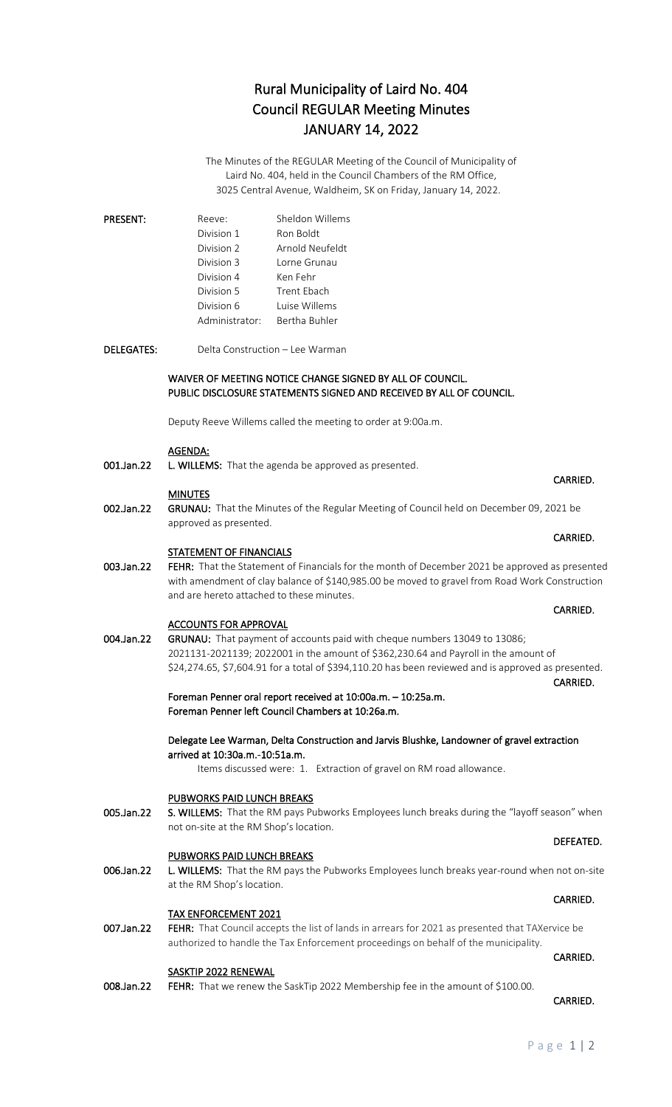## Rural Municipality of Laird No. 404 Council REGULAR Meeting Minutes JANUARY 14, 2022

The Minutes of the REGULAR Meeting of the Council of Municipality of Laird No. 404, held in the Council Chambers of the RM Office, 3025 Central Avenue, Waldheim, SK on Friday, January 14, 2022.

| <b>PRESENT:</b> | Reeve:         | Sheldon Willems |
|-----------------|----------------|-----------------|
|                 | Division 1     | Ron Boldt       |
|                 | Division 2     | Arnold Neufeldt |
|                 | Division 3     | Lorne Grunau    |
|                 | Division 4     | Ken Fehr        |
|                 | Division 5     | Trent Ebach     |
|                 | Division 6     | Luise Willems   |
|                 | Administrator: | Bertha Buhler   |

DELEGATES: Delta Construction – Lee Warman

### WAIVER OF MEETING NOTICE CHANGE SIGNED BY ALL OF COUNCIL. PUBLIC DISCLOSURE STATEMENTS SIGNED AND RECEIVED BY ALL OF COUNCIL.

Deputy Reeve Willems called the meeting to order at 9:00a.m.

### AGENDA:

001.Jan.22 L. WILLEMS: That the agenda be approved as presented.

### **MINUTES**

002.Jan.22 GRUNAU: That the Minutes of the Regular Meeting of Council held on December 09, 2021 be approved as presented.

### **STATEMENT OF FINANCIALS**

003.Jan.22 FEHR: That the Statement of Financials for the month of December 2021 be approved as presented with amendment of clay balance of \$140,985.00 be moved to gravel from Road Work Construction and are hereto attached to these minutes.

### ACCOUNTS FOR APPROVAL

004.Jan.22 GRUNAU: That payment of accounts paid with cheque numbers 13049 to 13086; 2021131-2021139; 2022001 in the amount of \$362,230.64 and Payroll in the amount of \$24,274.65, \$7,604.91 for a total of \$394,110.20 has been reviewed and is approved as presented. CARRIED.

> Foreman Penner oral report received at 10:00a.m. – 10:25a.m. Foreman Penner left Council Chambers at 10:26a.m.

### Delegate Lee Warman, Delta Construction and Jarvis Blushke, Landowner of gravel extraction arrived at 10:30a.m.-10:51a.m.

Items discussed were: 1. Extraction of gravel on RM road allowance.

### PUBWORKS PAID LUNCH BREAKS

005.Jan.22 S. WILLEMS: That the RM pays Pubworks Employees lunch breaks during the "layoff season" when not on-site at the RM Shop's location.

### PUBWORKS PAID LUNCH BREAKS

006.Jan.22 L. WILLEMS: That the RM pays the Pubworks Employees lunch breaks year-round when not on-site at the RM Shop's location.

authorized to handle the Tax Enforcement proceedings on behalf of the municipality.

### TAX ENFORCEMENT 2021 007.Jan.22 FEHR: That Council accepts the list of lands in arrears for 2021 as presented that TAXervice be

- **CARRIED.** The contract of the contract of the contract of the contract of the contract of the contract of the contract of the contract of the contract of the contract of the contract of the contract of the contract of the SASKTIP 2022 RENEWAL
- 008.Jan.22 FEHR: That we renew the SaskTip 2022 Membership fee in the amount of \$100.00.

# CARRIED.

### **CARRIED. CARRIED.**

## **CARRIED. CARRIED.**

### DEFEATED.

### **CARRIED.** The contract of the contract of the contract of the contract of the contract of the contract of the contract of the contract of the contract of the contract of the contract of the contract of the contract of the

### **CARRIED.** The contract of the contract of the contract of the contract of the contract of the contract of the contract of the contract of the contract of the contract of the contract of the contract of the contract of the